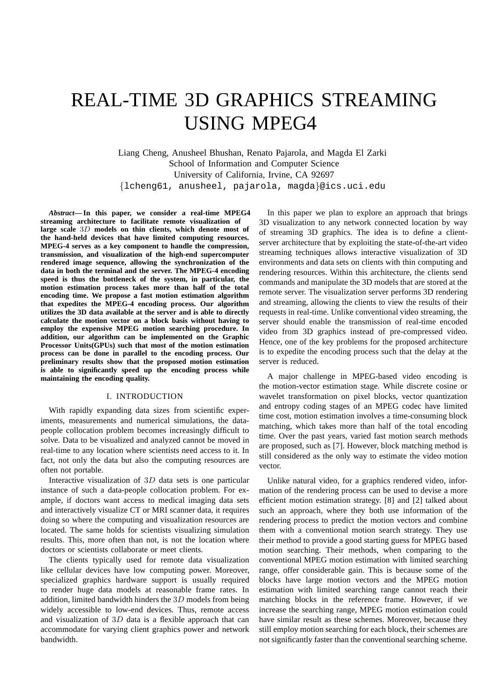# REAL-TIME 3D GRAPHICS STREAMING USING MPEG4

Liang Cheng, Anusheel Bhushan, Renato Pajarola, and Magda El Zarki School of Information and Computer Science University of California, Irvine, CA 92697 {lcheng61, anusheel, pajarola, magda}@ics.uci.edu

*Abstract***— In this paper, we consider a real-time MPEG4 streaming architecture to facilitate remote visualization of large scale** 3D **models on thin clients, which denote most of the hand-held devices that have limited computing resources. MPEG-4 serves as a key component to handle the compression, transmission, and visualization of the high-end supercomputer rendered image sequence, allowing the synchronization of the data in both the terminal and the server. The MPEG-4 encoding speed is thus the bottleneck of the system, in particular, the motion estimation process takes more than half of the total encoding time. We propose a fast motion estimation algorithm that expedites the MPEG-4 encoding process. Our algorithm utilizes the 3D data available at the server and is able to directly calculate the motion vector on a block basis without having to employ the expensive MPEG motion searching procedure. In addition, our algorithm can be implemented on the Graphic Processor Units(GPUs) such that most of the motion estimation process can be done in parallel to the encoding process. Our preliminary results show that the proposed motion estimation is able to significantly speed up the encoding process while maintaining the encoding quality.**

# I. INTRODUCTION

With rapidly expanding data sizes from scientific experiments, measurements and numerical simulations, the datapeople collocation problem becomes increasingly difficult to solve. Data to be visualized and analyzed cannot be moved in real-time to any location where scientists need access to it. In fact, not only the data but also the computing resources are often not portable.

Interactive visualization of 3D data sets is one particular instance of such a data-people collocation problem. For example, if doctors want access to medical imaging data sets and interactively visualize CT or MRI scanner data, it requires doing so where the computing and visualization resources are located. The same holds for scientists visualizing simulation results. This, more often than not, is not the location where doctors or scientists collaborate or meet clients.

The clients typically used for remote data visualization like cellular devices have low computing power. Moreover, specialized graphics hardware support is usually required to render huge data models at reasonable frame rates. In addition, limited bandwidth hinders the 3D models from being widely accessible to low-end devices. Thus, remote access and visualization of 3D data is a flexible approach that can accommodate for varying client graphics power and network bandwidth.

In this paper we plan to explore an approach that brings 3D visualization to any network connected location by way of streaming 3D graphics. The idea is to define a clientserver architecture that by exploiting the state-of-the-art video streaming techniques allows interactive visualization of 3D environments and data sets on clients with thin computing and rendering resources. Within this architecture, the clients send commands and manipulate the 3D models that are stored at the remote server. The visualization server performs 3D rendering and streaming, allowing the clients to view the results of their requests in real-time. Unlike conventional video streaming, the server should enable the transmission of real-time encoded video from 3D graphics instead of pre-compressed video. Hence, one of the key problems for the proposed architecture is to expedite the encoding process such that the delay at the server is reduced.

A major challenge in MPEG-based video encoding is the motion-vector estimation stage. While discrete cosine or wavelet transformation on pixel blocks, vector quantization and entropy coding stages of an MPEG codec have limited time cost, motion estimation involves a time-consuming block matching, which takes more than half of the total encoding time. Over the past years, varied fast motion search methods are proposed, such as [7]. However, block matching method is still considered as the only way to estimate the video motion vector.

Unlike natural video, for a graphics rendered video, information of the rendering process can be used to devise a more efficient motion estimation strategy. [8] and [2] talked about such an approach, where they both use information of the rendering process to predict the motion vectors and combine them with a conventional motion search strategy. They use their method to provide a good starting guess for MPEG based motion searching. Their methods, when comparing to the conventional MPEG motion estimation with limited searching range, offer considerable gain. This is because some of the blocks have large motion vectors and the MPEG motion estimation with limited searching range cannot reach their matching blocks in the reference frame. However, if we increase the searching range, MPEG motion estimation could have similar result as these schemes. Moreover, because they still employ motion searching for each block, their schemes are not significantly faster than the conventional searching scheme.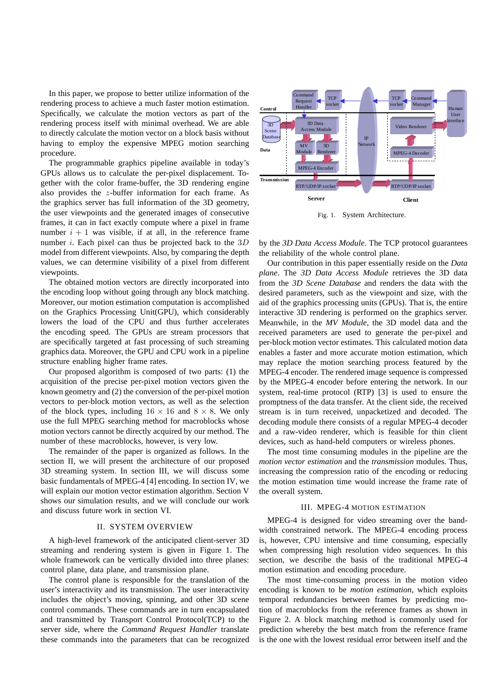In this paper, we propose to better utilize information of the rendering process to achieve a much faster motion estimation. Specifically, we calculate the motion vectors as part of the rendering process itself with minimal overhead. We are able to directly calculate the motion vector on a block basis without having to employ the expensive MPEG motion searching procedure.

The programmable graphics pipeline available in today's GPUs allows us to calculate the per-pixel displacement. Together with the color frame-buffer, the 3D rendering engine also provides the z-buffer information for each frame. As the graphics server has full information of the 3D geometry, the user viewpoints and the generated images of consecutive frames, it can in fact exactly compute where a pixel in frame number  $i + 1$  was visible, if at all, in the reference frame number *i*. Each pixel can thus be projected back to the  $3D$ model from different viewpoints. Also, by comparing the depth values, we can determine visibility of a pixel from different viewpoints.

The obtained motion vectors are directly incorporated into the encoding loop without going through any block matching. Moreover, our motion estimation computation is accomplished on the Graphics Processing Unit(GPU), which considerably lowers the load of the CPU and thus further accelerates the encoding speed. The GPUs are stream processors that are specifically targeted at fast processing of such streaming graphics data. Moreover, the GPU and CPU work in a pipeline structure enabling higher frame rates.

Our proposed algorithm is composed of two parts: (1) the acquisition of the precise per-pixel motion vectors given the known geometry and (2) the conversion of the per-pixel motion vectors to per-block motion vectors, as well as the selection of the block types, including  $16 \times 16$  and  $8 \times 8$ . We only use the full MPEG searching method for macroblocks whose motion vectors cannot be directly acquired by our method. The number of these macroblocks, however, is very low.

The remainder of the paper is organized as follows. In the section II, we will present the architecture of our proposed 3D streaming system. In section III, we will discuss some basic fundamentals of MPEG-4 [4] encoding. In section IV, we will explain our motion vector estimation algorithm. Section V shows our simulation results, and we will conclude our work and discuss future work in section VI.

# II. SYSTEM OVERVIEW

A high-level framework of the anticipated client-server 3D streaming and rendering system is given in Figure 1. The whole framework can be vertically divided into three planes: control plane, data plane, and transmission plane.

The control plane is responsible for the translation of the user's interactivity and its transmission. The user interactivity includes the object's moving, spinning, and other 3D scene control commands. These commands are in turn encapsulated and transmitted by Transport Control Protocol(TCP) to the server side, where the *Command Request Handler* translate these commands into the parameters that can be recognized



Fig. 1. System Architecture.

by the *3D Data Access Module*. The TCP protocol guarantees the reliability of the whole control plane.

Our contribution in this paper essentially reside on the *Data plane*. The *3D Data Access Module* retrieves the 3D data from the *3D Scene Database* and renders the data with the desired parameters, such as the viewpoint and size, with the aid of the graphics processing units (GPUs). That is, the entire interactive 3D rendering is performed on the graphics server. Meanwhile, in the *MV Module*, the 3D model data and the received parameters are used to generate the per-pixel and per-block motion vector estimates. This calculated motion data enables a faster and more accurate motion estimation, which may replace the motion searching process featured by the MPEG-4 encoder. The rendered image sequence is compressed by the MPEG-4 encoder before entering the network. In our system, real-time protocol (RTP) [3] is used to ensure the promptness of the data transfer. At the client side, the received stream is in turn received, unpacketized and decoded. The decoding module there consists of a regular MPEG-4 decoder and a raw-video renderer, which is feasible for thin client devices, such as hand-held computers or wireless phones.

The most time consuming modules in the pipeline are the *motion vector estimation* and the *transmission* modules. Thus, increasing the compression ratio of the encoding or reducing the motion estimation time would increase the frame rate of the overall system.

### III. MPEG-4 MOTION ESTIMATION

MPEG-4 is designed for video streaming over the bandwidth constrained network. The MPEG-4 encoding process is, however, CPU intensive and time consuming, especially when compressing high resolution video sequences. In this section, we describe the basis of the traditional MPEG-4 motion estimation and encoding procedure.

The most time-consuming process in the motion video encoding is known to be *motion estimation*, which exploits temporal redundancies between frames by predicting motion of macroblocks from the reference frames as shown in Figure 2. A block matching method is commonly used for prediction whereby the best match from the reference frame is the one with the lowest residual error between itself and the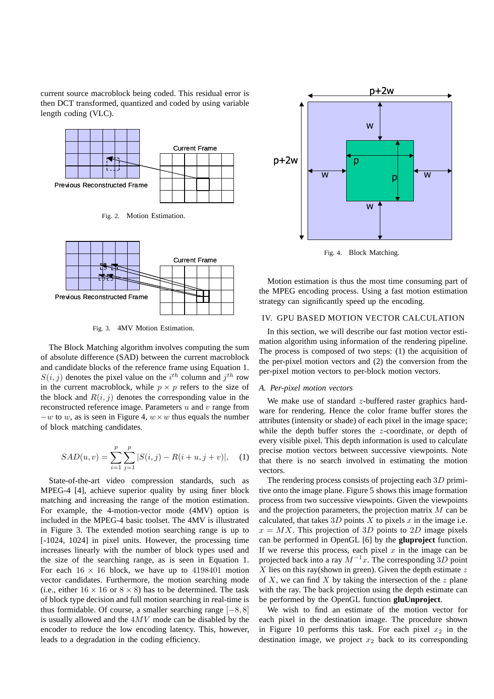current source macroblock being coded. This residual error is then DCT transformed, quantized and coded by using variable length coding (VLC).



Fig. 2. Motion Estimation.



Fig. 3. 4MV Motion Estimation.

The Block Matching algorithm involves computing the sum of absolute difference (SAD) between the current macroblock and candidate blocks of the reference frame using Equation 1.  $S(i, j)$  denotes the pixel value on the  $i^{th}$  column and  $j^{th}$  row in the current macroblock, while  $p \times p$  refers to the size of the block and  $R(i, j)$  denotes the corresponding value in the reconstructed reference image. Parameters  $u$  and  $v$  range from  $-w$  to w, as is seen in Figure 4,  $w \times w$  thus equals the number of block matching candidates.

$$
SAD(u, v) = \sum_{i=1}^{p} \sum_{j=1}^{p} |S(i, j) - R(i + u, j + v)|, \quad (1)
$$

State-of-the-art video compression standards, such as MPEG-4 [4], achieve superior quality by using finer block matching and increasing the range of the motion estimation. For example, the 4-motion-vector mode (4MV) option is included in the MPEG-4 basic toolset. The 4MV is illustrated in Figure 3. The extended motion searching range is up to [-1024, 1024] in pixel units. However, the processing time increases linearly with the number of block types used and the size of the searching range, as is seen in Equation 1. For each  $16 \times 16$  block, we have up to 4198401 motion vector candidates. Furthermore, the motion searching mode (i.e., either  $16 \times 16$  or  $8 \times 8$ ) has to be determined. The task of block type decision and full motion searching in real-time is thus formidable. Of course, a smaller searching range  $[-8, 8]$ is usually allowed and the  $4MV$  mode can be disabled by the encoder to reduce the low encoding latency. This, however, leads to a degradation in the coding efficiency.



Fig. 4. Block Matching.

Motion estimation is thus the most time consuming part of the MPEG encoding process. Using a fast motion estimation strategy can significantly speed up the encoding.

# IV. GPU BASED MOTION VECTOR CALCULATION

In this section, we will describe our fast motion vector estimation algorithm using information of the rendering pipeline. The process is composed of two steps: (1) the acquisition of the per-pixel motion vectors and (2) the conversion from the per-pixel motion vectors to per-block motion vectors.

### *A. Per-pixel motion vectors*

We make use of standard  $z$ -buffered raster graphics hardware for rendering. Hence the color frame buffer stores the attributes (intensity or shade) of each pixel in the image space; while the depth buffer stores the z-coordinate, or depth of every visible pixel. This depth information is used to calculate precise motion vectors between successive viewpoints. Note that there is no search involved in estimating the motion vectors.

The rendering process consists of projecting each 3D primitive onto the image plane. Figure 5 shows this image formation process from two successive viewpoints. Given the viewpoints and the projection parameters, the projection matrix M can be calculated, that takes  $3D$  points X to pixels x in the image i.e.  $x = MX$ . This projection of 3D points to 2D image pixels can be performed in OpenGL [6] by the **gluproject** function. If we reverse this process, each pixel  $x$  in the image can be projected back into a ray  $M^{-1}x$ . The corresponding 3D point  $X$  lies on this ray(shown in green). Given the depth estimate  $z$ of X, we can find X by taking the intersection of the z plane with the ray. The back projection using the depth estimate can be performed by the OpenGL function **gluUnproject**.

We wish to find an estimate of the motion vector for each pixel in the destination image. The procedure shown in Figure 10 performs this task. For each pixel  $x_2$  in the destination image, we project  $x_2$  back to its corresponding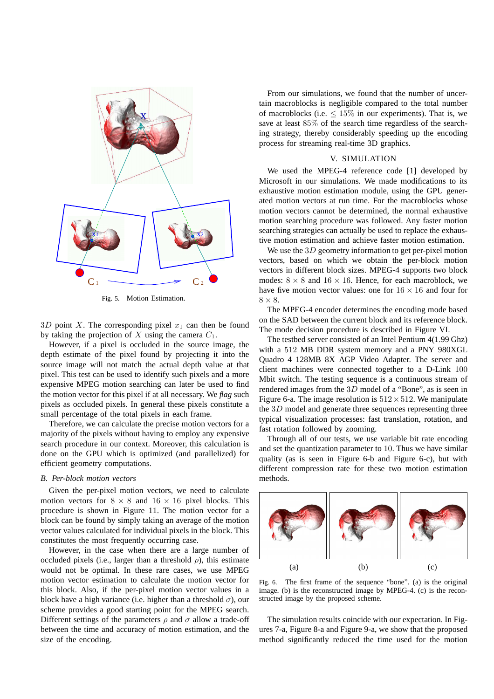

Fig. 5. Motion Estimation.

3D point X. The corresponding pixel  $x_1$  can then be found by taking the projection of X using the camera  $C_1$ .

However, if a pixel is occluded in the source image, the depth estimate of the pixel found by projecting it into the source image will not match the actual depth value at that pixel. This test can be used to identify such pixels and a more expensive MPEG motion searching can later be used to find the motion vector for this pixel if at all necessary. We *flag* such pixels as occluded pixels. In general these pixels constitute a small percentage of the total pixels in each frame.

Therefore, we can calculate the precise motion vectors for a majority of the pixels without having to employ any expensive search procedure in our context. Moreover, this calculation is done on the GPU which is optimized (and parallelized) for efficient geometry computations.

# *B. Per-block motion vectors*

Given the per-pixel motion vectors, we need to calculate motion vectors for  $8 \times 8$  and  $16 \times 16$  pixel blocks. This procedure is shown in Figure 11. The motion vector for a block can be found by simply taking an average of the motion vector values calculated for individual pixels in the block. This constitutes the most frequently occurring case.

However, in the case when there are a large number of occluded pixels (i.e., larger than a threshold  $\rho$ ), this estimate would not be optimal. In these rare cases, we use MPEG motion vector estimation to calculate the motion vector for this block. Also, if the per-pixel motion vector values in a block have a high variance (i.e. higher than a threshold  $\sigma$ ), our scheme provides a good starting point for the MPEG search. Different settings of the parameters  $\rho$  and  $\sigma$  allow a trade-off between the time and accuracy of motion estimation, and the size of the encoding.

From our simulations, we found that the number of uncertain macroblocks is negligible compared to the total number of macroblocks (i.e.  $\leq 15\%$  in our experiments). That is, we save at least 85% of the search time regardless of the searching strategy, thereby considerably speeding up the encoding process for streaming real-time 3D graphics.

# V. SIMULATION

We used the MPEG-4 reference code [1] developed by Microsoft in our simulations. We made modifications to its exhaustive motion estimation module, using the GPU generated motion vectors at run time. For the macroblocks whose motion vectors cannot be determined, the normal exhaustive motion searching procedure was followed. Any faster motion searching strategies can actually be used to replace the exhaustive motion estimation and achieve faster motion estimation.

We use the  $3D$  geometry information to get per-pixel motion vectors, based on which we obtain the per-block motion vectors in different block sizes. MPEG-4 supports two block modes:  $8 \times 8$  and  $16 \times 16$ . Hence, for each macroblock, we have five motion vector values: one for  $16 \times 16$  and four for  $8 \times 8$ .

The MPEG-4 encoder determines the encoding mode based on the SAD between the current block and its reference block. The mode decision procedure is described in Figure VI.

The testbed server consisted of an Intel Pentium 4(1.99 Ghz) with a 512 MB DDR system memory and a PNY 980XGL Quadro 4 128MB 8X AGP Video Adapter. The server and client machines were connected together to a D-Link 100 Mbit switch. The testing sequence is a continuous stream of rendered images from the 3D model of a "Bone", as is seen in Figure 6-a. The image resolution is  $512 \times 512$ . We manipulate the 3D model and generate three sequences representing three typical visualization processes: fast translation, rotation, and fast rotation followed by zooming.

Through all of our tests, we use variable bit rate encoding and set the quantization parameter to 10. Thus we have similar quality (as is seen in Figure 6-b and Figure 6-c), but with different compression rate for these two motion estimation methods.



Fig. 6. The first frame of the sequence "bone". (a) is the original image. (b) is the reconstructed image by MPEG-4. (c) is the reconstructed image by the proposed scheme.

The simulation results coincide with our expectation. In Figures 7-a, Figure 8-a and Figure 9-a, we show that the proposed method significantly reduced the time used for the motion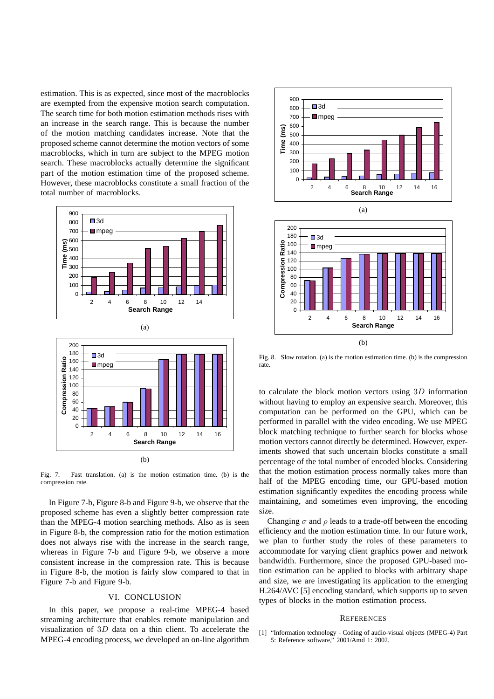estimation. This is as expected, since most of the macroblocks are exempted from the expensive motion search computation. The search time for both motion estimation methods rises with an increase in the search range. This is because the number of the motion matching candidates increase. Note that the proposed scheme cannot determine the motion vectors of some macroblocks, which in turn are subject to the MPEG motion search. These macroblocks actually determine the significant part of the motion estimation time of the proposed scheme. However, these macroblocks constitute a small fraction of the total number of macroblocks.



Fig. 7. Fast translation. (a) is the motion estimation time. (b) is the compression rate.

In Figure 7-b, Figure 8-b and Figure 9-b, we observe that the proposed scheme has even a slightly better compression rate than the MPEG-4 motion searching methods. Also as is seen in Figure 8-b, the compression ratio for the motion estimation does not always rise with the increase in the search range, whereas in Figure 7-b and Figure 9-b, we observe a more consistent increase in the compression rate. This is because in Figure 8-b, the motion is fairly slow compared to that in Figure 7-b and Figure 9-b.

# VI. CONCLUSION

In this paper, we propose a real-time MPEG-4 based streaming architecture that enables remote manipulation and visualization of 3D data on a thin client. To accelerate the MPEG-4 encoding process, we developed an on-line algorithm





Fig. 8. Slow rotation. (a) is the motion estimation time. (b) is the compression rate.

to calculate the block motion vectors using 3D information without having to employ an expensive search. Moreover, this computation can be performed on the GPU, which can be performed in parallel with the video encoding. We use MPEG block matching technique to further search for blocks whose motion vectors cannot directly be determined. However, experiments showed that such uncertain blocks constitute a small percentage of the total number of encoded blocks. Considering that the motion estimation process normally takes more than half of the MPEG encoding time, our GPU-based motion estimation significantly expedites the encoding process while maintaining, and sometimes even improving, the encoding size.

Changing  $\sigma$  and  $\rho$  leads to a trade-off between the encoding efficiency and the motion estimation time. In our future work, we plan to further study the roles of these parameters to accommodate for varying client graphics power and network bandwidth. Furthermore, since the proposed GPU-based motion estimation can be applied to blocks with arbitrary shape and size, we are investigating its application to the emerging H.264/AVC [5] encoding standard, which supports up to seven types of blocks in the motion estimation process.

#### **REFERENCES**

[1] "Information technology - Coding of audio-visual objects (MPEG-4) Part 5: Reference software," 2001/Amd 1: 2002.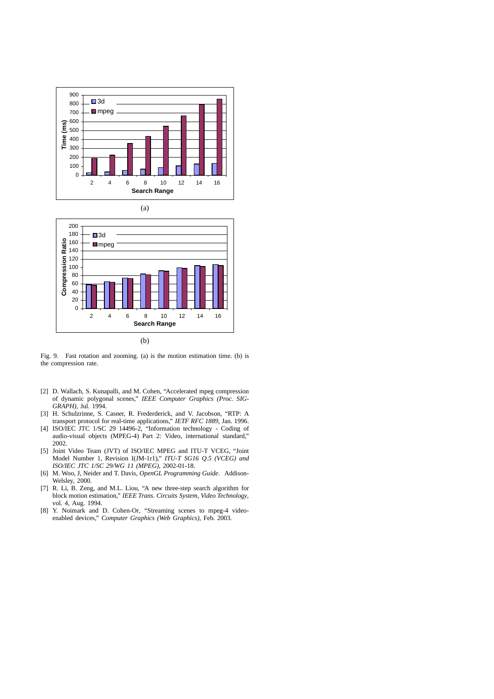



Fig. 9. Fast rotation and zooming. (a) is the motion estimation time. (b) is the compression rate.

- [2] D. Wallach, S. Kunapalli, and M. Cohen, "Accelerated mpeg compression of dynamic polygonal scenes," *IEEE Computer Graphics (Proc. SIG-GRAPH)*, Jul. 1994.
- [3] H. Schulzrinne, S. Casner, R. Frederderick, and V. Jacobson, "RTP: A transport protocol for real-time applications," *IETF RFC 1889*, Jan. 1996.
- [4] ISO/IEC JTC 1/SC 29 14496-2, "Information technology Coding of audio-visual objects (MPEG-4) Part 2: Video, international standard," 2002.
- [5] Joint Video Team (JVT) of ISO/IEC MPEG and ITU-T VCEG, "Joint Model Number 1, Revision I(JM-1r1)," *ITU-T SG16 Q.5 (VCEG) and ISO/IEC JTC 1/SC 29/WG 11 (MPEG)*, 2002-01-18.
- [6] M. Woo, J, Neider and T. Davis, *OpenGL Programming Guide*. Addison-Welsley, 2000.
- [7] R. Li, B. Zeng, and M.L. Liou, "A new three-step search algorithm for block motion estimation," *IEEE Trans. Circuits System, Video Technology*, vol. 4, Aug. 1994.
- [8] Y. Noimark and D. Cohen-Or, "Streaming scenes to mpeg-4 videoenabled devices," *Computer Graphics (Web Graphics)*, Feb. 2003.